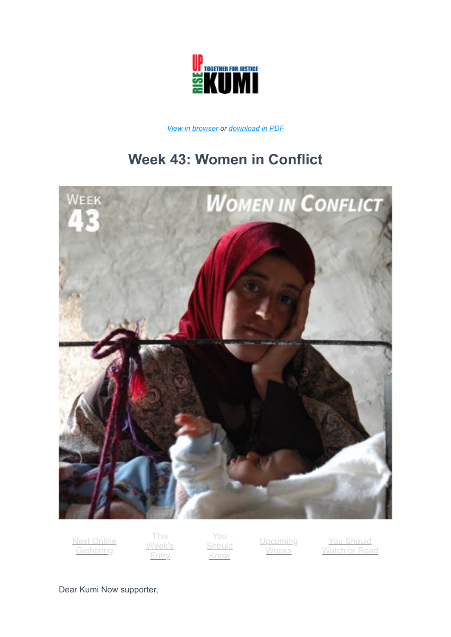

*[View in browser](https://41y97.r.bh.d.sendibt3.com/mk/mr/Hz971Hv5hjNymuqLBrPJBPXE4-E8E2vH4BICQkEZ8bQNOBcB_niF0YFY_fiGUDdccKFxLdgGv4z5wy1oGdd-A9K5P8pPw_JqKz_4GYe2F7MYe5dvfNSh2EJBRNmNBwjWYJ1tNtLc) or [download in PDF](http://kuminow.com/wp-content/uploads/2021/10/Week-43.pdf)*

# **Week 43: Women in Conflict**



[Next Online](#page-1-0) **Gathering** 

This /eek's **Entry** 

You [Should](#page-4-0) Know

**[Upcoming](#page-6-0) Weeks** 

You Should [Watch or Read](#page-8-0)

Dear Kumi Now supporter,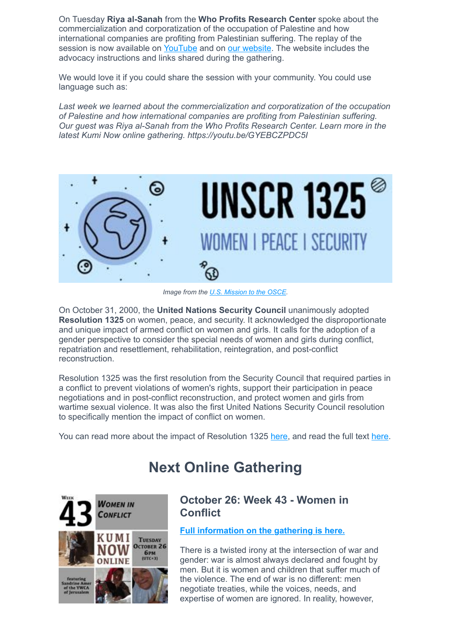On Tuesday **Riya al-Sanah** from the **Who Profits Research Center** spoke about the commercialization and corporatization of the occupation of Palestine and how international companies are profiting from Palestinian suffering. The replay of the session is now available on [YouTube](https://youtu.be/GYEBCZPDC5I) and on [our website](https://kuminow.com/week-42-profiting-from-occupation-online-gathering/). The website includes the advocacy instructions and links shared during the gathering.

We would love it if you could share the session with your community. You could use language such as:

*Last week we learned about the commercialization and corporatization of the occupation of Palestine and how international companies are profiting from Palestinian suffering. Our guest was Riya al-Sanah from the Who Profits Research Center. Learn more in the latest Kumi Now online gathering. https://youtu.be/GYEBCZPDC5I*



*Image from the [U.S. Mission to the OSCE.](https://osce.usmission.gov/statement-on-the-20th-anniversary-of-unscr-1325-on-women-peace-and-security/)*

On October 31, 2000, the **United Nations Security Council** unanimously adopted **Resolution 1325** on women, peace, and security. It acknowledged the disproportionate and unique impact of armed conflict on women and girls. It calls for the adoption of a gender perspective to consider the special needs of women and girls during conflict, repatriation and resettlement, rehabilitation, reintegration, and post-conflict reconstruction.

Resolution 1325 was the first resolution from the Security Council that required parties in a conflict to prevent violations of women's rights, support their participation in peace negotiations and in post-conflict reconstruction, and protect women and girls from wartime sexual violence. It was also the first United Nations Security Council resolution to specifically mention the impact of conflict on women.

<span id="page-1-0"></span>You can read more about the impact of Resolution 1325 [here,](https://www.usip.org/gender_peacebuilding/about_UNSCR_1325) and read the full text [here](http://unscr.com/en/resolutions/doc/1325).

# **Next Online Gathering**



## **October 26: Week 43 - Women in Conflict**

**[Full information on the gathering is here.](https://kuminow.com/week-43-women-in-conflict-online-gathering/)**

There is a twisted irony at the intersection of war and gender: war is almost always declared and fought by men. But it is women and children that suffer much of the violence. The end of war is no different: men negotiate treaties, while the voices, needs, and expertise of women are ignored. In reality, however,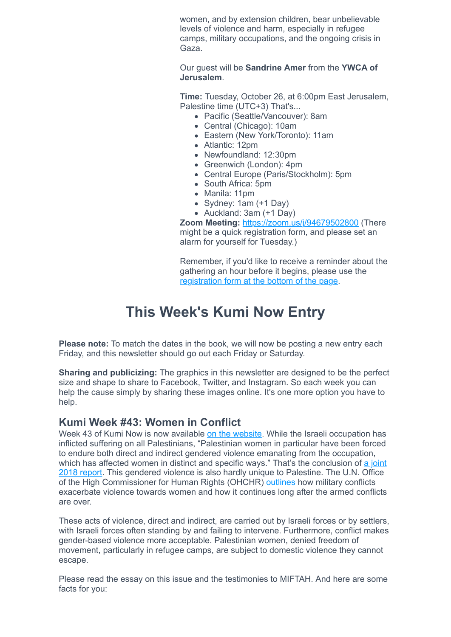women, and by extension children, bear unbelievable levels of violence and harm, especially in refugee camps, military occupations, and the ongoing crisis in Gaza.

Our guest will be **Sandrine Amer** from the **YWCA of Jerusalem**.

**Time:** Tuesday, October 26, at 6:00pm East Jerusalem, Palestine time (UTC+3) That's...

- Pacific (Seattle/Vancouver): 8am
- Central (Chicago): 10am
- Eastern (New York/Toronto): 11am
- Atlantic: 12pm
- Newfoundland: 12:30pm
- Greenwich (London): 4pm
- Central Europe (Paris/Stockholm): 5pm
- South Africa: 5pm
- Manila: 11pm
- Sydney: 1am (+1 Day)
- Auckland: 3am (+1 Day)

**Zoom Meeting:** <https://zoom.us/j/94679502800>(There might be a quick registration form, and please set an alarm for yourself for Tuesday.)

Remember, if you'd like to receive a reminder about the gathering an hour before it begins, please use the [registration form at the bottom of the page](http://kuminow.com/online/).

# **This Week's Kumi Now Entry**

<span id="page-2-0"></span>**Please note:** To match the dates in the book, we will now be posting a new entry each Friday, and this newsletter should go out each Friday or Saturday.

**Sharing and publicizing:** The graphics in this newsletter are designed to be the perfect size and shape to share to Facebook, Twitter, and Instagram. So each week you can help the cause simply by sharing these images online. It's one more option you have to help.

### **Kumi Week #43: Women in Conflict**

Week 43 of Kumi Now is now available [on the website.](https://kuminow.com/womeninconflict/) While the Israeli occupation has inflicted suffering on all Palestinians, "Palestinian women in particular have been forced to endure both direct and indirect gendered violence emanating from the occupation, [which has affected women in distinct and specific ways." That's the conclusion of a joint](http://www.miftah.org/Display.cfm?DocId=26522&CategoryId=8) 2018 report. This gendered violence is also hardly unique to Palestine. The U.N. Office of the High Commissioner for Human Rights (OHCHR) [outlines](https://www.ohchr.org/Documents/Events/WHRD/WomenRightsAreHR.pdf) how military conflicts exacerbate violence towards women and how it continues long after the armed conflicts are over.

These acts of violence, direct and indirect, are carried out by Israeli forces or by settlers, with Israeli forces often standing by and failing to intervene. Furthermore, conflict makes gender-based violence more acceptable. Palestinian women, denied freedom of movement, particularly in refugee camps, are subject to domestic violence they cannot escape.

Please read the essay on this issue and the testimonies to MIFTAH. And here are some facts for you: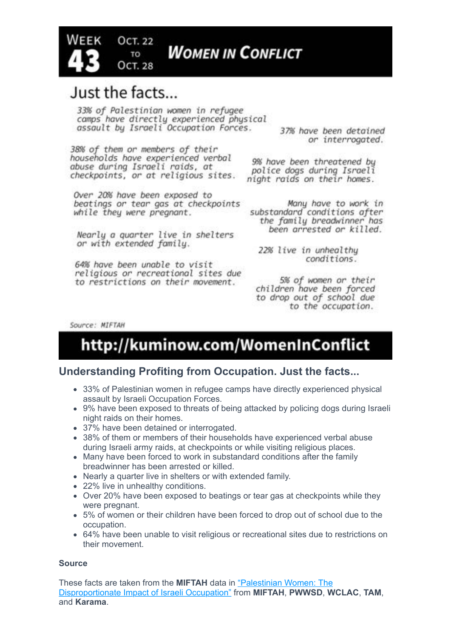

# Just the facts...

**OCT. 22** 

TO **OCT. 28** 

33% of Palestinian women in refugee camps have directly experienced physical assault by Israeli Occupation Forces.

38% of them or members of their households have experienced verbal abuse during Israeli raids, at checkpoints, or at religious sites.

Over 20% have been exposed to beatings or tear gas at checkpoints while they were pregnant.

Nearly a quarter live in shelters or with extended family.

64% have been unable to visit religious or recreational sites due to restrictions on their movement.

37% have been detained or interrogated.

9% have been threatened bu police dogs during Israeli night raids on their homes.

Many have to work in substandard conditions after the family breadwinner has been arrested or killed.

22% live in unhealthu conditions.

5% of women or their children have been forced to drop out of school due to the occupation.

Source: MIFTAH

# http://kuminow.com/WomenInConflict

### **Understanding Profiting from Occupation. Just the facts...**

- 33% of Palestinian women in refugee camps have directly experienced physical assault by Israeli Occupation Forces.
- 9% have been exposed to threats of being attacked by policing dogs during Israeli night raids on their homes.
- 37% have been detained or interrogated.
- 38% of them or members of their households have experienced verbal abuse during Israeli army raids, at checkpoints or while visiting religious places.
- Many have been forced to work in substandard conditions after the family breadwinner has been arrested or killed.
- Nearly a quarter live in shelters or with extended family.
- 22% live in unhealthy conditions.
- Over 20% have been exposed to beatings or tear gas at checkpoints while they were pregnant.
- 5% of women or their children have been forced to drop out of school due to the occupation.
- 64% have been unable to visit religious or recreational sites due to restrictions on their movement.

### **Source**

These facts are taken from the **MIFTAH** data in "Palestinian Women: The [Disproportionate Impact of Israeli Occupation" from](http://www.miftah.org/Display.cfm?DocId=26522&CategoryId=8) **MIFTAH**, **PWWSD**, **WCLAC**, **TAM**, and **Karama**.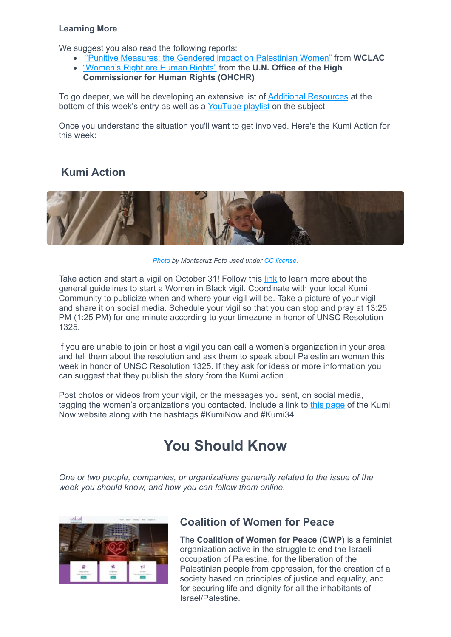#### **Learning More**

We suggest you also read the following reports:

- ["Punitive Measures: the Gendered impact on Palestinian Women"](http://www.wclac.org/files/library/20/02/ilnulx7jqmtos8qcjc02ka.pdf) from **WCLAC**
- ["Women's Right are Human Rights"](https://www.ohchr.org/Documents/Events/WHRD/WomenRightsAreHR.pdf) from the **U.N. Office of the High Commissioner for Human Rights (OHCHR)**

To go deeper, we will be developing an extensive list of [Additional Resources](https://kuminow.com/womeninconflict/#additionalresources) at the bottom of this week's entry as well as a [YouTube playlist](https://youtube.com/playlist?list=PLu2nUnkJwDwlWZdfPZgy-KKKqOBdg6UHy) on the subject.

Once you understand the situation you'll want to get involved. Here's the Kumi Action for this week:

## **Kumi Action**



*[Photo](https://flic.kr/p/bAxKgk) by Montecruz Foto used under [CC license](https://creativecommons.org/licenses/by-sa/2.0/).*

Take action and start a vigil on October 31! Follow this [link](http://womeninblack.org/action/) to learn more about the general guidelines to start a Women in Black vigil. Coordinate with your local Kumi Community to publicize when and where your vigil will be. Take a picture of your vigil and share it on social media. Schedule your vigil so that you can stop and pray at 13:25 PM (1:25 PM) for one minute according to your timezone in honor of UNSC Resolution 1325.

If you are unable to join or host a vigil you can call a women's organization in your area and tell them about the resolution and ask them to speak about Palestinian women this week in honor of UNSC Resolution 1325. If they ask for ideas or more information you can suggest that they publish the story from the Kumi action.

<span id="page-4-0"></span>Post photos or videos from your vigil, or the messages you sent, on social media, tagging the women's organizations you contacted. Include a link to [this page](https://kuminow.com/womeninconflict/) of the Kumi Now website along with the hashtags #KumiNow and #Kumi34.

# **You Should Know**

*One or two people, companies, or organizations generally related to the issue of the week you should know, and how you can follow them online.*



## **Coalition of Women for Peace**

The **Coalition of Women for Peace (CWP)** is a feminist organization active in the struggle to end the Israeli occupation of Palestine, for the liberation of the Palestinian people from oppression, for the creation of a society based on principles of justice and equality, and for securing life and dignity for all the inhabitants of Israel/Palestine.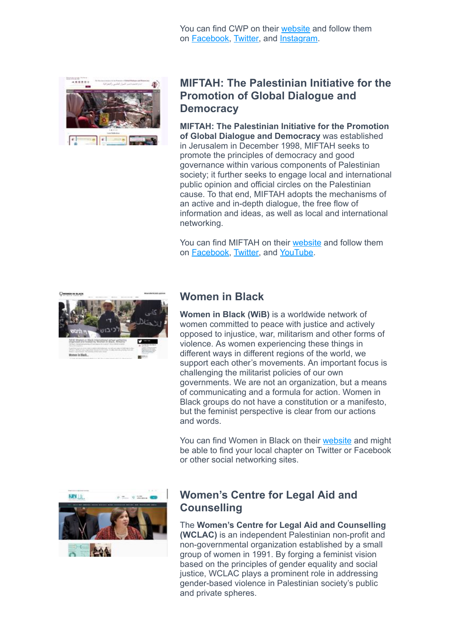You can find CWP on their [website](http://www.coalitionofwomen.org/?lang=en) and follow them on [Facebook](https://www.facebook.com/coalitionofwomen/), [Twitter,](https://twitter.com/cwp_live) and [Instagram](https://www.instagram.com/coalitionofwomen/).



## **MIFTAH: The Palestinian Initiative for the Promotion of Global Dialogue and Democracy**

**MIFTAH: The Palestinian Initiative for the Promotion of Global Dialogue and Democracy** was established in Jerusalem in December 1998, MIFTAH seeks to promote the principles of democracy and good governance within various components of Palestinian society; it further seeks to engage local and international public opinion and official circles on the Palestinian cause. To that end, MIFTAH adopts the mechanisms of an active and in-depth dialogue, the free flow of information and ideas, as well as local and international networking.

You can find MIFTAH on their [website](http://www.miftah.org/) and follow them on [Facebook](http://www.facebook.com/pages/MIFTAH/112704028762146), [Twitter,](https://twitter.com/miftah_org) and [YouTube.](https://www.youtube.com/user/MiftahOrganization)



### **Women in Black**

**Women in Black (WiB)** is a worldwide network of women committed to peace with justice and actively opposed to injustice, war, militarism and other forms of violence. As women experiencing these things in different ways in different regions of the world, we support each other's movements. An important focus is challenging the militarist policies of our own governments. We are not an organization, but a means of communicating and a formula for action. Women in Black groups do not have a constitution or a manifesto, but the feminist perspective is clear from our actions and words.

You can find Women in Black on their [website](http://womeninblack.org/) and might be able to find your local chapter on Twitter or Facebook or other social networking sites.



### **Women's Centre for Legal Aid and Counselling**

The **Women's Centre for Legal Aid and Counselling (WCLAC)** is an independent Palestinian non-profit and non-governmental organization established by a small group of women in 1991. By forging a feminist vision based on the principles of gender equality and social justice, WCLAC plays a prominent role in addressing gender-based violence in Palestinian society's public and private spheres.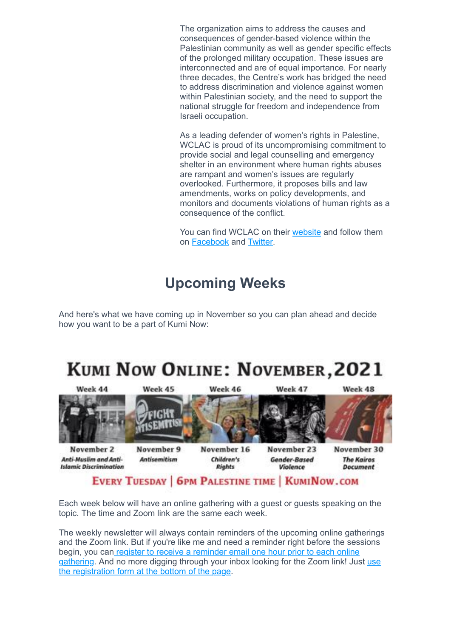The organization aims to address the causes and consequences of gender-based violence within the Palestinian community as well as gender specific effects of the prolonged military occupation. These issues are interconnected and are of equal importance. For nearly three decades, the Centre's work has bridged the need to address discrimination and violence against women within Palestinian society, and the need to support the national struggle for freedom and independence from Israeli occupation.

As a leading defender of women's rights in Palestine, WCLAC is proud of its uncompromising commitment to provide social and legal counselling and emergency shelter in an environment where human rights abuses are rampant and women's issues are regularly overlooked. Furthermore, it proposes bills and law amendments, works on policy developments, and monitors and documents violations of human rights as a consequence of the conflict.

You can find WCLAC on their [website](http://www.wclac.org/) and follow them on [Facebook](https://www.facebook.com/Womens-Centre-for-Legal-Aid-and-Counselling-WCLAC-256930734377028/) and [Twitter](https://twitter.com/WCLAC_English).

# **Upcoming Weeks**

<span id="page-6-0"></span>And here's what we have coming up in November so you can plan ahead and decide how you want to be a part of Kumi Now:

# KUMI NOW ONLINE: NOVEMBER, 2021



Each week below will have an online gathering with a guest or guests speaking on the topic. The time and Zoom link are the same each week.

The weekly newsletter will always contain reminders of the upcoming online gatherings and the Zoom link. But if you're like me and need a reminder right before the sessions begin, you can register to receive a reminder email one hour prior to each online [gathering. And no more digging through your inbox looking for the Zoom link! Just use](https://kuminow.com/online/) the registration form at the bottom of the page.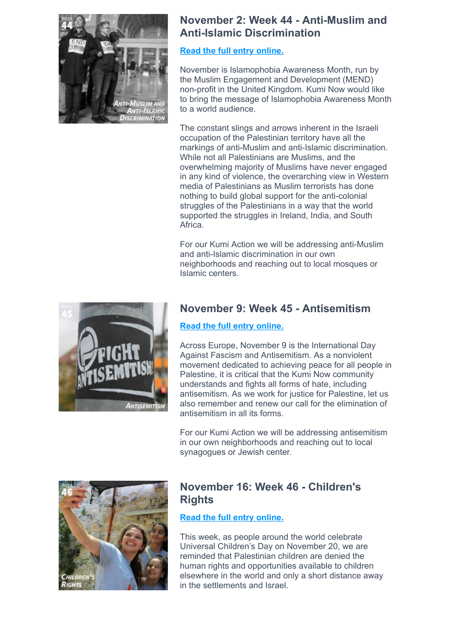

## **November 2: Week 44 - Anti-Muslim and Anti-Islamic Discrimination**

### **[Read the full entry online.](http://www.kuminow.com/AntiMuslim)**

November is Islamophobia Awareness Month, run by the Muslim Engagement and Development (MEND) non-profit in the United Kingdom. Kumi Now would like to bring the message of Islamophobia Awareness Month to a world audience.

The constant slings and arrows inherent in the Israeli occupation of the Palestinian territory have all the markings of anti-Muslim and anti-Islamic discrimination. While not all Palestinians are Muslims, and the overwhelming majority of Muslims have never engaged in any kind of violence, the overarching view in Western media of Palestinians as Muslim terrorists has done nothing to build global support for the anti-colonial struggles of the Palestinians in a way that the world supported the struggles in Ireland, India, and South Africa.

For our Kumi Action we will be addressing anti-Muslim and anti-Islamic discrimination in our own neighborhoods and reaching out to local mosques or Islamic centers.



## **November 9: Week 45 - Antisemitism**

### **[Read the full entry online.](http://www.kuminow.com/Antisemitism)**

Across Europe, November 9 is the International Day Against Fascism and Antisemitism. As a nonviolent movement dedicated to achieving peace for all people in Palestine, it is critical that the Kumi Now community understands and fights all forms of hate, including antisemitism. As we work for justice for Palestine, let us also remember and renew our call for the elimination of antisemitism in all its forms.

For our Kumi Action we will be addressing antisemitism in our own neighborhoods and reaching out to local synagogues or Jewish center.



## **November 16: Week 46 - Children's Rights**

### **[Read the full entry online.](http://www.kuminow.com/ChildrensRights)**

This week, as people around the world celebrate Universal Children's Day on November 20, we are reminded that Palestinian children are denied the human rights and opportunities available to children elsewhere in the world and only a short distance away in the settlements and Israel.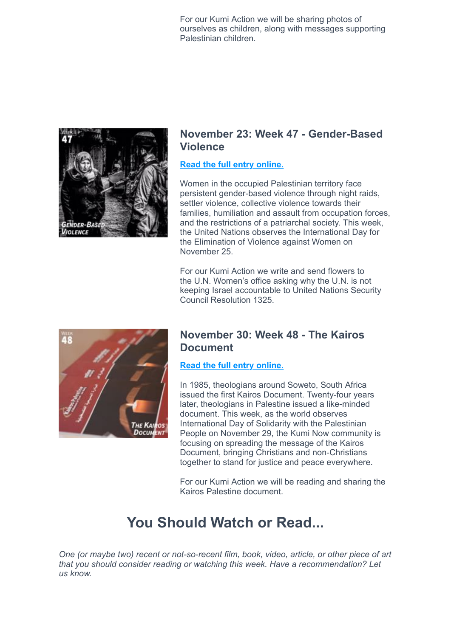For our Kumi Action we will be sharing photos of ourselves as children, along with messages supporting Palestinian children.



### **November 23: Week 47 - Gender-Based Violence**

### **[Read the full entry online.](http://www.kuminow.com/Gender-BasedViolence)**

Women in the occupied Palestinian territory face persistent gender-based violence through night raids, settler violence, collective violence towards their families, humiliation and assault from occupation forces, and the restrictions of a patriarchal society. This week, the United Nations observes the International Day for the Elimination of Violence against Women on November 25.

For our Kumi Action we write and send flowers to the U.N. Women's office asking why the U.N. is not keeping Israel accountable to United Nations Security Council Resolution 1325.



## **November 30: Week 48 - The Kairos Document**

### **[Read the full entry online.](http://www.kuminow.com/KairosDocument)**

In 1985, theologians around Soweto, South Africa issued the first Kairos Document. Twenty-four years later, theologians in Palestine issued a like-minded document. This week, as the world observes International Day of Solidarity with the Palestinian People on November 29, the Kumi Now community is focusing on spreading the message of the Kairos Document, bringing Christians and non-Christians together to stand for justice and peace everywhere.

For our Kumi Action we will be reading and sharing the Kairos Palestine document.

# **You Should Watch or Read...**

<span id="page-8-0"></span>*One (or maybe two) recent or not-so-recent film, book, video, article, or other piece of art that you should consider reading or watching this week. Have a recommendation? Let us know.*